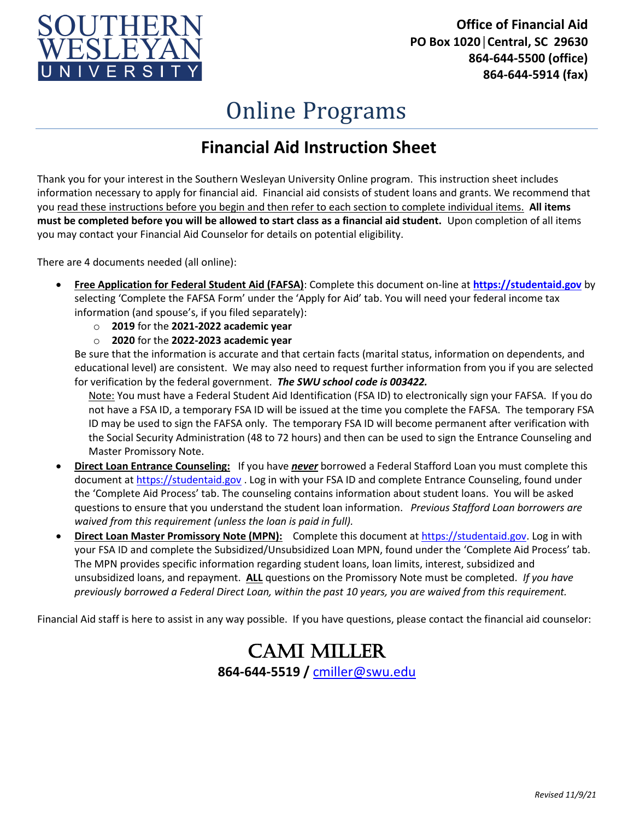

**Office of Financial Aid PO Box 1020│Central, SC 29630 864-644-5500 (office) 864-644-5914 (fax)**

## Online Programs

## **Financial Aid Instruction Sheet**

Thank you for your interest in the Southern Wesleyan University Online program. This instruction sheet includes information necessary to apply for financial aid. Financial aid consists of student loans and grants. We recommend that you read these instructions before you begin and then refer to each section to complete individual items. **All items must be completed before you will be allowed to start class as a financial aid student.** Upon completion of all items you may contact your Financial Aid Counselor for details on potential eligibility.

There are 4 documents needed (all online):

- **Free Application for Federal Student Aid (FAFSA)**: Complete this document on-line at **[https://studentaid.gov](https://studentaid.gov/)** by selecting 'Complete the FAFSA Form' under the 'Apply for Aid' tab. You will need your federal income tax information (and spouse's, if you filed separately):
	- o **2019** for the **2021-2022 academic year**
	- o **2020** for the **2022-2023 academic year**

Be sure that the information is accurate and that certain facts (marital status, information on dependents, and educational level) are consistent. We may also need to request further information from you if you are selected for verification by the federal government. *The SWU school code is 003422.*

Note: You must have a Federal Student Aid Identification (FSA ID) to electronically sign your FAFSA. If you do not have a FSA ID, a temporary FSA ID will be issued at the time you complete the FAFSA. The temporary FSA ID may be used to sign the FAFSA only. The temporary FSA ID will become permanent after verification with the Social Security Administration (48 to 72 hours) and then can be used to sign the Entrance Counseling and Master Promissory Note.

- **Direct Loan Entrance Counseling:** If you have *never* borrowed a Federal Stafford Loan you must complete this document a[t https://studentaid.gov](https://studentaid.gov/) . Log in with your FSA ID and complete Entrance Counseling, found under the 'Complete Aid Process' tab. The counseling contains information about student loans. You will be asked questions to ensure that you understand the student loan information. *Previous Stafford Loan borrowers are waived from this requirement (unless the loan is paid in full).*
- **Direct Loan Master Promissory Note (MPN):** Complete this document at [https://studentaid.gov.](https://studentaid.gov/) Log in with your FSA ID and complete the Subsidized/Unsubsidized Loan MPN, found under the 'Complete Aid Process' tab. The MPN provides specific information regarding student loans, loan limits, interest, subsidized and unsubsidized loans, and repayment. **ALL** questions on the Promissory Note must be completed. *If you have previously borrowed a Federal Direct Loan, within the past 10 years, you are waived from this requirement.*

Financial Aid staff is here to assist in any way possible. If you have questions, please contact the financial aid counselor:

Cami Miller **864-644-5519 /** [cmiller@swu.edu](mailto:cmiller@swu.edu)